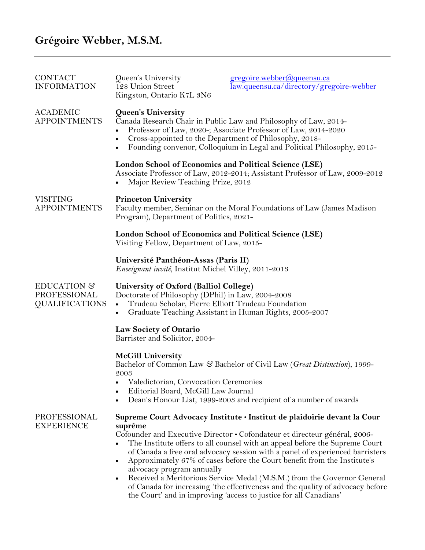# **Grégoire Webber, M.S.M.**

| <b>CONTACT</b><br><b>INFORMATION</b>                 | Queen's University<br>128 Union Street<br>Kingston, Ontario K7L 3N6                                                                                                                                                                                                                          | gregoire.webber@queensu.ca<br>law.queensu.ca/directory/gregoire-webber                                                                                                                                                                                                                                                                                                                                                                                                                                                                                   |
|------------------------------------------------------|----------------------------------------------------------------------------------------------------------------------------------------------------------------------------------------------------------------------------------------------------------------------------------------------|----------------------------------------------------------------------------------------------------------------------------------------------------------------------------------------------------------------------------------------------------------------------------------------------------------------------------------------------------------------------------------------------------------------------------------------------------------------------------------------------------------------------------------------------------------|
| <b>ACADEMIC</b><br><b>APPOINTMENTS</b>               | Queen's University<br>Canada Research Chair in Public Law and Philosophy of Law, 2014-<br>Professor of Law, 2020-; Associate Professor of Law, 2014-2020<br>Cross-appointed to the Department of Philosophy, 2018-<br>Founding convenor, Colloquium in Legal and Political Philosophy, 2015- |                                                                                                                                                                                                                                                                                                                                                                                                                                                                                                                                                          |
|                                                      | London School of Economics and Political Science (LSE)<br>Associate Professor of Law, 2012-2014; Assistant Professor of Law, 2009-2012<br>Major Review Teaching Prize, 2012                                                                                                                  |                                                                                                                                                                                                                                                                                                                                                                                                                                                                                                                                                          |
| <b>VISITING</b><br><b>APPOINTMENTS</b>               | <b>Princeton University</b><br>Faculty member, Seminar on the Moral Foundations of Law (James Madison<br>Program), Department of Politics, 2021-                                                                                                                                             |                                                                                                                                                                                                                                                                                                                                                                                                                                                                                                                                                          |
|                                                      | London School of Economics and Political Science (LSE)<br>Visiting Fellow, Department of Law, 2015-                                                                                                                                                                                          |                                                                                                                                                                                                                                                                                                                                                                                                                                                                                                                                                          |
|                                                      | Université Panthéon-Assas (Paris II)<br><i>Enseignant invité</i> , Institut Michel Villey, 2011-2013                                                                                                                                                                                         |                                                                                                                                                                                                                                                                                                                                                                                                                                                                                                                                                          |
| EDUCATION &<br>PROFESSIONAL<br><b>QUALIFICATIONS</b> | University of Oxford (Balliol College)<br>Doctorate of Philosophy (DPhil) in Law, 2004-2008<br>Trudeau Scholar, Pierre Elliott Trudeau Foundation<br>$\bullet$<br>Graduate Teaching Assistant in Human Rights, 2005-2007<br>$\bullet$                                                        |                                                                                                                                                                                                                                                                                                                                                                                                                                                                                                                                                          |
|                                                      | Law Society of Ontario<br>Barrister and Solicitor, 2004-                                                                                                                                                                                                                                     |                                                                                                                                                                                                                                                                                                                                                                                                                                                                                                                                                          |
|                                                      | <b>McGill University</b><br>2003<br>• Valedictorian, Convocation Ceremonies<br>Editorial Board, McGill Law Journal<br>٠                                                                                                                                                                      | Bachelor of Common Law & Bachelor of Civil Law (Great Distinction), 1999-<br>Dean's Honour List, 1999-2003 and recipient of a number of awards                                                                                                                                                                                                                                                                                                                                                                                                           |
| PROFESSIONAL<br><b>EXPERIENCE</b>                    |                                                                                                                                                                                                                                                                                              | Supreme Court Advocacy Institute · Institut de plaidoirie devant la Cour                                                                                                                                                                                                                                                                                                                                                                                                                                                                                 |
|                                                      | suprême<br>٠<br>advocacy program annually<br>٠                                                                                                                                                                                                                                               | Cofounder and Executive Director • Cofondateur et directeur général, 2006-<br>The Institute offers to all counsel with an appeal before the Supreme Court<br>of Canada a free oral advocacy session with a panel of experienced barristers<br>Approximately 67% of cases before the Court benefit from the Institute's<br>Received a Meritorious Service Medal (M.S.M.) from the Governor General<br>of Canada for increasing 'the effectiveness and the quality of advocacy before<br>the Court' and in improving 'access to justice for all Canadians' |
|                                                      |                                                                                                                                                                                                                                                                                              |                                                                                                                                                                                                                                                                                                                                                                                                                                                                                                                                                          |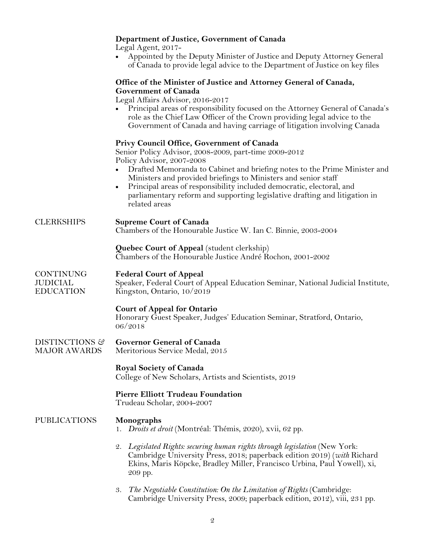|                                           | Department of Justice, Government of Canada<br>Legal Agent, 2017-<br>Appointed by the Deputy Minister of Justice and Deputy Attorney General<br>of Canada to provide legal advice to the Department of Justice on key files                                                                                                                                                                                                                             |  |  |
|-------------------------------------------|---------------------------------------------------------------------------------------------------------------------------------------------------------------------------------------------------------------------------------------------------------------------------------------------------------------------------------------------------------------------------------------------------------------------------------------------------------|--|--|
|                                           | Office of the Minister of Justice and Attorney General of Canada,<br><b>Government of Canada</b><br>Legal Affairs Advisor, 2016-2017<br>Principal areas of responsibility focused on the Attorney General of Canada's<br>role as the Chief Law Officer of the Crown providing legal advice to the<br>Government of Canada and having carriage of litigation involving Canada                                                                            |  |  |
|                                           | Privy Council Office, Government of Canada<br>Senior Policy Advisor, 2008-2009, part-time 2009-2012<br>Policy Advisor, 2007-2008<br>Drafted Memoranda to Cabinet and briefing notes to the Prime Minister and<br>Ministers and provided briefings to Ministers and senior staff<br>Principal areas of responsibility included democratic, electoral, and<br>parliamentary reform and supporting legislative drafting and litigation in<br>related areas |  |  |
| <b>CLERKSHIPS</b>                         | <b>Supreme Court of Canada</b><br>Chambers of the Honourable Justice W. Ian C. Binnie, 2003-2004                                                                                                                                                                                                                                                                                                                                                        |  |  |
|                                           | Quebec Court of Appeal (student clerkship)<br>Chambers of the Honourable Justice André Rochon, 2001-2002                                                                                                                                                                                                                                                                                                                                                |  |  |
| CONTINUNG<br>JUDICIAL<br><b>EDUCATION</b> | <b>Federal Court of Appeal</b><br>Speaker, Federal Court of Appeal Education Seminar, National Judicial Institute,<br>Kingston, Ontario, 10/2019                                                                                                                                                                                                                                                                                                        |  |  |
|                                           | <b>Court of Appeal for Ontario</b><br>Honorary Guest Speaker, Judges' Education Seminar, Stratford, Ontario,<br>06/2018                                                                                                                                                                                                                                                                                                                                 |  |  |
| DISTINCTIONS ෂ<br><b>MAJOR AWARDS</b>     | Governor General of Canada<br>Meritorious Service Medal, 2015                                                                                                                                                                                                                                                                                                                                                                                           |  |  |
|                                           | <b>Royal Society of Canada</b><br>College of New Scholars, Artists and Scientists, 2019                                                                                                                                                                                                                                                                                                                                                                 |  |  |
|                                           | <b>Pierre Elliott Trudeau Foundation</b><br>Trudeau Scholar, 2004–2007                                                                                                                                                                                                                                                                                                                                                                                  |  |  |
| <b>PUBLICATIONS</b>                       | Monographs<br>1. Droits et droit (Montréal: Thémis, 2020), xvii, 62 pp.                                                                                                                                                                                                                                                                                                                                                                                 |  |  |
|                                           | 2. Legislated Rights: securing human rights through legislation (New York:<br>Cambridge University Press, 2018; paperback edition 2019) (with Richard<br>Ekins, Maris Köpcke, Bradley Miller, Francisco Urbina, Paul Yowell), xi,<br>209 pp.                                                                                                                                                                                                            |  |  |
|                                           | The Negotiable Constitution: On the Limitation of Rights (Cambridge:<br>3.<br>Cambridge University Press, 2009; paperback edition, 2012), viii, 231 pp.                                                                                                                                                                                                                                                                                                 |  |  |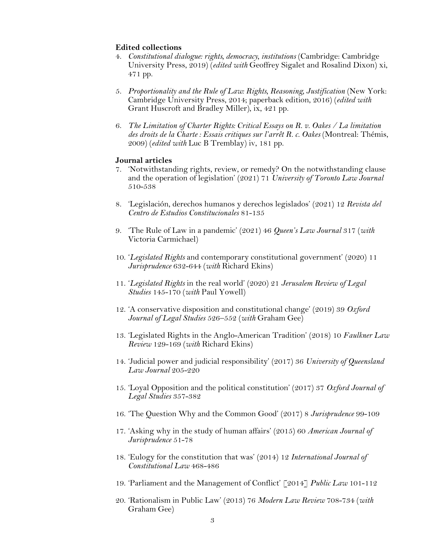### **Edited collections**

- 4. *Constitutional dialogue: rights, democracy, institutions* (Cambridge: Cambridge University Press, 2019) (*edited with* Geoffrey Sigalet and Rosalind Dixon) xi, 471 pp.
- 5. *Proportionality and the Rule of Law: Rights, Reasoning, Justification* (New York: Cambridge University Press, 2014; paperback edition, 2016) (*edited with* Grant Huscroft and Bradley Miller), ix, 421 pp.
- 6. *The Limitation of Charter Rights: Critical Essays on R. v. Oakes / La limitation*  des droits de la Charte : Essais critiques sur l'arrêt R. c. Oakes (Montreal: Thémis, 2009) (*edited with* Luc B Tremblay) iv, 181 pp.

#### **Journal articles**

- 7. 'Notwithstanding rights, review, or remedy? On the notwithstanding clause and the operation of legislation' (2021) 71 *University of Toronto Law Journal* 510-538
- 8. 'Legislación, derechos humanos y derechos legislados' (2021) 12 *Revista del Centro de Estudios Constitucionales* 81-135
- 9. 'The Rule of Law in a pandemic' (2021) 46 *Queen's Law Journal* 317 (*with* Victoria Carmichael)
- 10. '*Legislated Rights* and contemporary constitutional government' (2020) 11 *Jurisprudence* 632-644 (*with* Richard Ekins)
- 11. '*Legislated Rights* in the real world' (2020) 21 *Jerusalem Review of Legal Studies* 145-170 (*with* Paul Yowell)
- 12. 'A conservative disposition and constitutional change' (2019) 39 *Oxford Journal of Legal Studies* 526–552 (*with* Graham Gee)
- 13. 'Legislated Rights in the Anglo-American Tradition' (2018) 10 *Faulkner Law Review* 129-169 (*with* Richard Ekins)
- 14. 'Judicial power and judicial responsibility' (2017) 36 *University of Queensland Law Journal* 205-220
- 15. 'Loyal Opposition and the political constitution' (2017) 37 *Oxford Journal of Legal Studies* 357-382
- 16. 'The Question Why and the Common Good' (2017) 8 *Jurisprudence* 99-109
- 17. 'Asking why in the study of human affairs' (2015) 60 *American Journal of Jurisprudence* 51-78
- 18. 'Eulogy for the constitution that was' (2014) 12 *International Journal of Constitutional Law* 468-486
- 19. 'Parliament and the Management of Conflict' [2014] *Public Law* 101-112
- 20. 'Rationalism in Public Law' (2013) 76 *Modern Law Review* 708-734 (*with* Graham Gee)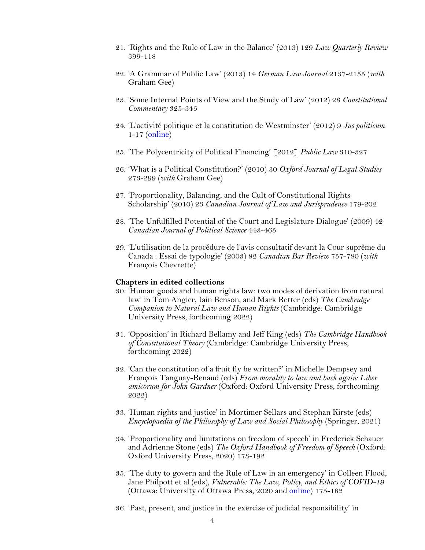- 21. 'Rights and the Rule of Law in the Balance' (2013) 129 *Law Quarterly Review* 399-418
- 22. 'A Grammar of Public Law' (2013) 14 *German Law Journal* 2137-2155 (*with*  Graham Gee)
- 23. 'Some Internal Points of View and the Study of Law' (2012) 28 *Constitutional Commentary* 325-345
- 24. 'L'activité politique et la constitution de Westminster' (2012) 9 *Jus politicum* 1-17 (*online*)
- 25. 'The Polycentricity of Political Financing' [2012] *Public Law* 310-327
- 26. 'What is a Political Constitution?' (2010) 30 *Oxford Journal of Legal Studies* 273-299 (*with* Graham Gee)
- 27. 'Proportionality, Balancing, and the Cult of Constitutional Rights Scholarship' (2010) 23 *Canadian Journal of Law and Jurisprudence* 179-202
- 28. 'The Unfulfilled Potential of the Court and Legislature Dialogue' (2009) 42 *Canadian Journal of Political Science* 443-465
- 29. 'L'utilisation de la procédure de l'avis consultatif devant la Cour suprême du Canada : Essai de typologie' (2003) 82 *Canadian Bar Review* 757-780 (*with* François Chevrette)

#### **Chapters in edited collections**

- 30. 'Human goods and human rights law: two modes of derivation from natural law' in Tom Angier, Iain Benson, and Mark Retter (eds) *The Cambridge Companion to Natural Law and Human Rights* (Cambridge: Cambridge University Press, forthcoming 2022)
- 31. 'Opposition' in Richard Bellamy and Jeff King (eds) *The Cambridge Handbook of Constitutional Theory* (Cambridge: Cambridge University Press, forthcoming 2022)
- 32. 'Can the constitution of a fruit fly be written?' in Michelle Dempsey and François Tanguay-Renaud (eds) *From morality to law and back again: Liber amicorum for John Gardner* (Oxford: Oxford University Press, forthcoming 2022)
- 33. 'Human rights and justice' in Mortimer Sellars and Stephan Kirste (eds) *Encyclopaedia of the Philosophy of Law and Social Philosophy* (Springer, 2021)
- 34. 'Proportionality and limitations on freedom of speech' in Frederick Schauer and Adrienne Stone (eds) *The Oxford Handbook of Freedom of Speech* (Oxford: Oxford University Press, 2020) 173-192
- 35. 'The duty to govern and the Rule of Law in an emergency' in Colleen Flood, Jane Philpott et al (eds), *Vulnerable: The Law, Policy, and Ethics of COVID-19* (Ottawa: University of Ottawa Press, 2020 and online) 175-182
- 36. 'Past, present, and justice in the exercise of judicial responsibility' in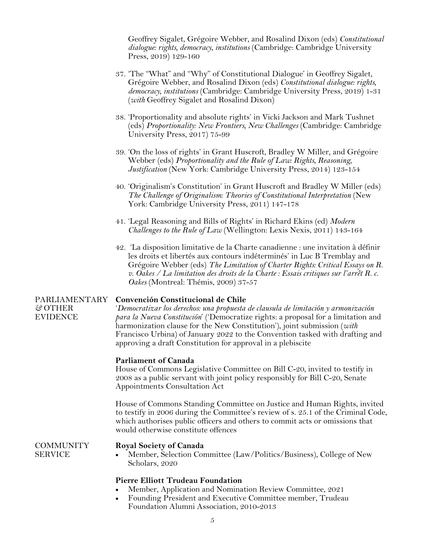Geoffrey Sigalet, Grégoire Webber, and Rosalind Dixon (eds) *Constitutional dialogue: rights, democracy, institutions* (Cambridge: Cambridge University Press, 2019) 129-160

- 37. 'The "What" and "Why" of Constitutional Dialogue' in Geoffrey Sigalet, Grégoire Webber, and Rosalind Dixon (eds) *Constitutional dialogue: rights, democracy, institutions* (Cambridge: Cambridge University Press, 2019) 1-31 (*with* Geoffrey Sigalet and Rosalind Dixon)
- 38. 'Proportionality and absolute rights' in Vicki Jackson and Mark Tushnet (eds) *Proportionality: New Frontiers, New Challenges* (Cambridge: Cambridge University Press, 2017) 75-99
- 39. 'On the loss of rights' in Grant Huscroft, Bradley W Miller, and Grégoire Webber (eds) *Proportionality and the Rule of Law: Rights, Reasoning, Justification* (New York: Cambridge University Press, 2014) 123-154
- 40. 'Originalism's Constitution' in Grant Huscroft and Bradley W Miller (eds) *The Challenge of Originalism: Theories of Constitutional Interpretation* (New York: Cambridge University Press, 2011) 147-178
- 41. 'Legal Reasoning and Bills of Rights' in Richard Ekins (ed) *Modern Challenges to the Rule of Law* (Wellington: Lexis Nexis, 2011) 143-164
- 42. 'La disposition limitative de la Charte canadienne : une invitation à définir les droits et libertés aux contours indéterminés' in Luc B Tremblay and Grégoire Webber (eds) *The Limitation of Charter Rights: Critical Essays on R. v. Oakes / La limitation des droits de la Charte : Essais critiques sur l'arrêt R. c. Oakes* (Montreal: Thémis, 2009) 37-57

#### PARLIAMENTARY **Convención Constitucional de Chile**

'*Democratizar los derechos: una propuesta de clausula de limitación y armonización para la Nueva Constitución*' ('Democratize rights: a proposal for a limitation and harmonization clause for the New Constitution'), joint submission (*with*  Francisco Urbina) of January 2022 to the Convention tasked with drafting and approving a draft Constitution for approval in a plebiscite

# **Parliament of Canada**

House of Commons Legislative Committee on Bill C-20, invited to testify in 2008 as a public servant with joint policy responsibly for Bill C-20, Senate Appointments Consultation Act

House of Commons Standing Committee on Justice and Human Rights, invited to testify in 2006 during the Committee's review of s. 25.1 of the Criminal Code, which authorises public officers and others to commit acts or omissions that would otherwise constitute offences

**COMMUNITY SERVICE** 

*&* OTHER EVIDENCE

# **Royal Society of Canada**

• Member, Selection Committee (Law/Politics/Business), College of New Scholars, 2020

# **Pierre Elliott Trudeau Foundation**

- Member, Application and Nomination Review Committee, 2021
- Founding President and Executive Committee member, Trudeau Foundation Alumni Association, 2010-2013